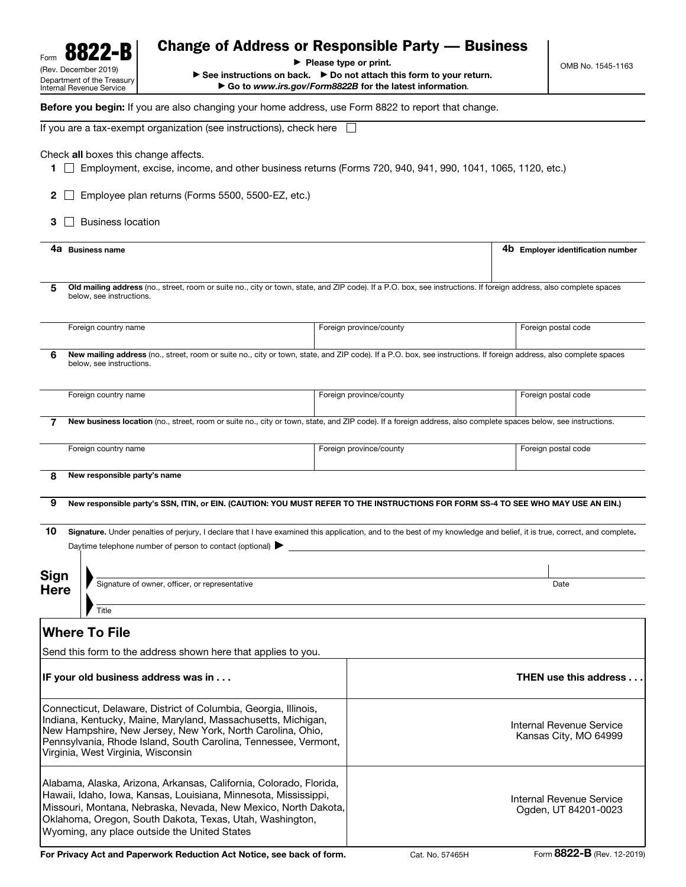| Form                                                                                                                                                                                                                                                                                                                | 8822-B                                         | <b>Change of Address or Responsible Party — Business</b>                                                                                                                                                                           |                                                                                                                                                                                                               |                         |                                                   |                     |  |
|---------------------------------------------------------------------------------------------------------------------------------------------------------------------------------------------------------------------------------------------------------------------------------------------------------------------|------------------------------------------------|------------------------------------------------------------------------------------------------------------------------------------------------------------------------------------------------------------------------------------|---------------------------------------------------------------------------------------------------------------------------------------------------------------------------------------------------------------|-------------------------|---------------------------------------------------|---------------------|--|
| (Rev. December 2019)<br>Department of the Treasury<br>Internal Revenue Service                                                                                                                                                                                                                                      |                                                |                                                                                                                                                                                                                                    | $\blacktriangleright$ Please type or print.<br>$\triangleright$ See instructions on back. $\triangleright$ Do not attach this form to your return.<br>Go to www.irs.gov/Form8822B for the latest information. |                         |                                                   | OMB No. 1545-1163   |  |
|                                                                                                                                                                                                                                                                                                                     |                                                | Before you begin: If you are also changing your home address, use Form 8822 to report that change.                                                                                                                                 |                                                                                                                                                                                                               |                         |                                                   |                     |  |
|                                                                                                                                                                                                                                                                                                                     |                                                | If you are a tax-exempt organization (see instructions), check here                                                                                                                                                                |                                                                                                                                                                                                               |                         |                                                   |                     |  |
| 1.<br>$\mathbf{2}$                                                                                                                                                                                                                                                                                                  |                                                | Check all boxes this change affects.<br>Employment, excise, income, and other business returns (Forms 720, 940, 941, 990, 1041, 1065, 1120, etc.)<br>Employee plan returns (Forms 5500, 5500-EZ, etc.)                             |                                                                                                                                                                                                               |                         |                                                   |                     |  |
| 3                                                                                                                                                                                                                                                                                                                   | <b>Business location</b>                       |                                                                                                                                                                                                                                    |                                                                                                                                                                                                               |                         |                                                   |                     |  |
| 4a Business name                                                                                                                                                                                                                                                                                                    |                                                |                                                                                                                                                                                                                                    |                                                                                                                                                                                                               |                         | 4b Employer identification number                 |                     |  |
| 5                                                                                                                                                                                                                                                                                                                   | below, see instructions.                       | Old mailing address (no., street, room or suite no., city or town, state, and ZIP code). If a P.O. box, see instructions. If foreign address, also complete spaces                                                                 |                                                                                                                                                                                                               |                         |                                                   |                     |  |
|                                                                                                                                                                                                                                                                                                                     | Foreign country name                           |                                                                                                                                                                                                                                    |                                                                                                                                                                                                               | Foreign province/county |                                                   | Foreign postal code |  |
| 6                                                                                                                                                                                                                                                                                                                   | below, see instructions.                       | New mailing address (no., street, room or suite no., city or town, state, and ZIP code). If a P.O. box, see instructions. If foreign address, also complete spaces                                                                 |                                                                                                                                                                                                               |                         |                                                   |                     |  |
|                                                                                                                                                                                                                                                                                                                     | Foreign country name                           |                                                                                                                                                                                                                                    |                                                                                                                                                                                                               | Foreign province/county |                                                   | Foreign postal code |  |
|                                                                                                                                                                                                                                                                                                                     |                                                | New business location (no., street, room or suite no., city or town, state, and ZIP code). If a foreign address, also complete spaces below, see instructions.                                                                     |                                                                                                                                                                                                               |                         |                                                   |                     |  |
| Foreign country name                                                                                                                                                                                                                                                                                                |                                                |                                                                                                                                                                                                                                    |                                                                                                                                                                                                               | Foreign province/county |                                                   | Foreign postal code |  |
| 8                                                                                                                                                                                                                                                                                                                   | New responsible party's name                   |                                                                                                                                                                                                                                    |                                                                                                                                                                                                               |                         |                                                   |                     |  |
| 9                                                                                                                                                                                                                                                                                                                   |                                                | New responsible party's SSN, ITIN, or EIN. (CAUTION: YOU MUST REFER TO THE INSTRUCTIONS FOR FORM SS-4 TO SEE WHO MAY USE AN EIN.)                                                                                                  |                                                                                                                                                                                                               |                         |                                                   |                     |  |
|                                                                                                                                                                                                                                                                                                                     |                                                |                                                                                                                                                                                                                                    |                                                                                                                                                                                                               |                         |                                                   |                     |  |
| 10                                                                                                                                                                                                                                                                                                                  |                                                | Signature. Under penalties of perjury, I declare that I have examined this application, and to the best of my knowledge and belief, it is true, correct, and complete.<br>Daytime telephone number of person to contact (optional) |                                                                                                                                                                                                               |                         |                                                   |                     |  |
|                                                                                                                                                                                                                                                                                                                     |                                                |                                                                                                                                                                                                                                    |                                                                                                                                                                                                               |                         |                                                   |                     |  |
| Sign<br><b>Here</b>                                                                                                                                                                                                                                                                                                 | Signature of owner, officer, or representative |                                                                                                                                                                                                                                    |                                                                                                                                                                                                               |                         |                                                   | Date                |  |
|                                                                                                                                                                                                                                                                                                                     | Title                                          |                                                                                                                                                                                                                                    |                                                                                                                                                                                                               |                         |                                                   |                     |  |
|                                                                                                                                                                                                                                                                                                                     | <b>Where To File</b>                           |                                                                                                                                                                                                                                    |                                                                                                                                                                                                               |                         |                                                   |                     |  |
|                                                                                                                                                                                                                                                                                                                     |                                                | Send this form to the address shown here that applies to you.                                                                                                                                                                      |                                                                                                                                                                                                               |                         |                                                   |                     |  |
| IF your old business address was in                                                                                                                                                                                                                                                                                 |                                                |                                                                                                                                                                                                                                    |                                                                                                                                                                                                               |                         | <b>THEN use this address</b>                      |                     |  |
| Connecticut, Delaware, District of Columbia, Georgia, Illinois,<br>Indiana, Kentucky, Maine, Maryland, Massachusetts, Michigan,<br>New Hampshire, New Jersey, New York, North Carolina, Ohio,<br>Pennsylvania, Rhode Island, South Carolina, Tennessee, Vermont,<br>Virginia, West Virginia, Wisconsin              |                                                |                                                                                                                                                                                                                                    |                                                                                                                                                                                                               |                         | Internal Revenue Service<br>Kansas City, MO 64999 |                     |  |
| Alabama, Alaska, Arizona, Arkansas, California, Colorado, Florida,<br>Hawaii, Idaho, Iowa, Kansas, Louisiana, Minnesota, Mississippi,<br>Missouri, Montana, Nebraska, Nevada, New Mexico, North Dakota,<br>Oklahoma, Oregon, South Dakota, Texas, Utah, Washington,<br>Wyoming, any place outside the United States |                                                |                                                                                                                                                                                                                                    |                                                                                                                                                                                                               |                         | Internal Revenue Service<br>Ogden, UT 84201-0023  |                     |  |

For Privacy Act and Paperwork Reduction Act Notice, see back of form.<br>
Cat. No. 57465H Form 8822-B (Rev. 12-2019)

 $\overline{\phantom{a}}$